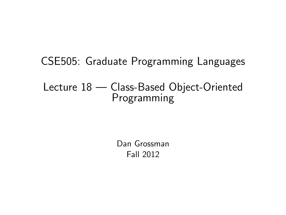# CSE505: Graduate Programming Languages

#### Lecture 18 — Class-Based Object-Oriented Programming

<span id="page-0-0"></span>Dan Grossman Fall 2012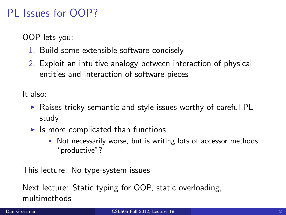## PL Issues for OOP?

OOP lets you:

- 1. Build some extensible software concisely
- 2. Exploit an intuitive analogy between interaction of physical entities and interaction of software pieces

It also:

- $\triangleright$  Raises tricky semantic and style issues worthy of careful PL study
- $\blacktriangleright$  Is more complicated than functions
	- $\triangleright$  Not necessarily worse, but is writing lots of accessor methods "productive"?

This lecture: No type-system issues

Next lecture: Static typing for OOP, static overloading, multimethods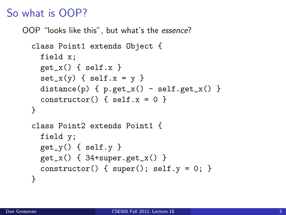## So what is OOP?

OOP "looks like this", but what's the essence?

```
class Point1 extends Object {
 field x;
 get_x() \{ self.x \}set_x(y) \{ self.x = y \}distance(p) { p.get_x() - self.get_x() }
  constraint() { self.x = 0 }
}
class Point2 extends Point1 {
 field y;
 get_y() \{ self.y \}get_x() \{ 34+super.get_x() \}constructor() { super(); self.y = 0; }
}
```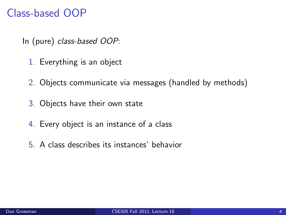## Class-based OOP

In (pure) class-based OOP:

- 1. Everything is an object
- 2. Objects communicate via messages (handled by methods)
- 3. Objects have their own state
- 4. Every object is an instance of a class
- 5. A class describes its instances' behavior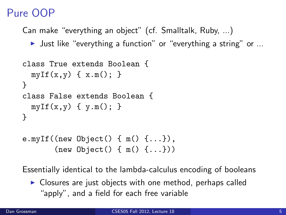# Pure OOP

Can make "everything an object" (cf. Smalltalk, Ruby, ...)

I Just like "everything a function" or "everything a string" or  $\ldots$ 

```
class True extends Boolean {
  myIf(x,y) \{ x.m(); \}}
class False extends Boolean {
 myIf(x,y) \{ y.m(): \}}
e.myIf((new Object() \{ m() \{ ... \},
```

```
(new Object() { m() {...}))
```
Essentially identical to the lambda-calculus encoding of booleans

 $\triangleright$  Closures are just objects with one method, perhaps called "apply", and a field for each free variable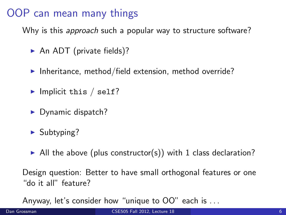## OOP can mean many things

Why is this *approach* such a popular way to structure software?

- $\triangleright$  An ADT (private fields)?
- Inheritance, method/field extension, method override?
- $\blacktriangleright$  Implicit this / self?
- $\blacktriangleright$  Dynamic dispatch?
- $\blacktriangleright$  Subtyping?
- $\blacktriangleright$  All the above (plus constructor(s)) with 1 class declaration?

Design question: Better to have small orthogonal features or one "do it all" feature?

Anyway, let's consider how "unique to OO" each is . . .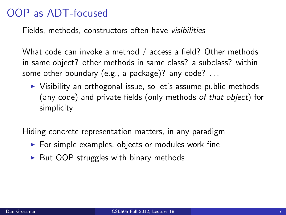#### OOP as ADT-focused

Fields, methods, constructors often have visibilities

What code can invoke a method / access a field? Other methods in same object? other methods in same class? a subclass? within some other boundary (e.g., a package)? any code? ...

 $\triangleright$  Visibility an orthogonal issue, so let's assume public methods (any code) and private fields (only methods of that object) for simplicity

Hiding concrete representation matters, in any paradigm

- $\triangleright$  For simple examples, objects or modules work fine
- $\triangleright$  But OOP struggles with binary methods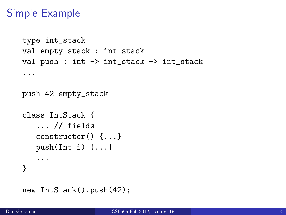### Simple Example

```
type int_stack
val empty_stack : int_stack
val push : int -> int_stack -> int_stack
...
push 42 empty_stack
class IntStack {
   ... // fields
   constructor() {...}
   push(Int i) \{ \ldots \}...
}
new IntStack().push(42);
```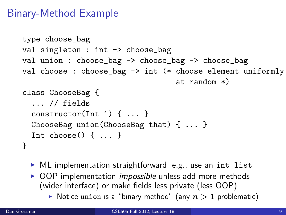## Binary-Method Example

```
type choose_bag
val singleton : int -> choose_bag
val union : choose_bag -> choose_bag -> choose_bag
val choose : choose_bag -> int (* choose element uniformly
                                   at random *)
class ChooseBag {
  ... // fields
  constructor(Int i) { ... }
  ChooseBag union(ChooseBag that) { ... }
  Int choose() { ... }
}
```
- $\triangleright$  ML implementation straightforward, e.g., use an int list
- $\triangleright$  OOP implementation *impossible* unless add more methods (wider interface) or make fields less private (less OOP)
	- $\triangleright$  Notice union is a "binary method" (any  $n > 1$  problematic)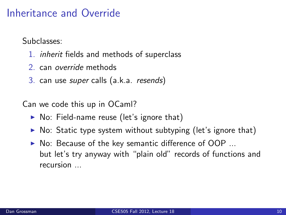#### Inheritance and Override

Subclasses:

- 1. inherit fields and methods of superclass
- 2. can override methods
- 3. can use super calls (a.k.a. resends)

Can we code this up in OCaml?

- $\triangleright$  No: Field-name reuse (let's ignore that)
- $\triangleright$  No: Static type system without subtyping (let's ignore that)
- $\triangleright$  No: Because of the key semantic difference of OOP ... but let's try anyway with "plain old" records of functions and recursion ...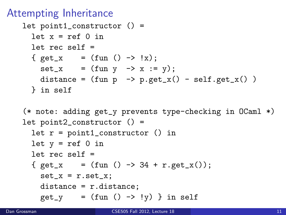#### Attempting Inheritance

```
let point1_constructor () =
  let x = ref \space 0 in
  let rec self =
  { get_x = (fun () \rightarrow !x);set_x = (fun y \rightarrow x := y);distance = (fun p \rightarrow p.get_x() - self.get_x() )} in self
```

```
(* note: adding get_y prevents type-checking in OCaml *)
let point2_constructor () =
```

```
let r = point1_constructor () in
let y = ref 0 in
let rec self =
{ get_x = (fun () -> 34 + r.get_x());set_x = r.set_x;distance = r.distance;
  get_y = (fun () \rightarrow !y) in self
```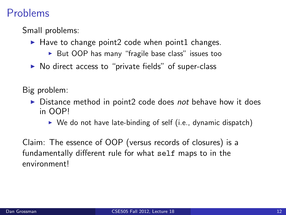#### Problems

Small problems:

- $\blacktriangleright$  Have to change point2 code when point1 changes.
	- $\triangleright$  But OOP has many "fragile base class" issues too
- $\triangleright$  No direct access to "private fields" of super-class

Big problem:

- $\triangleright$  Distance method in point2 code does not behave how it does in OOP!
	- $\triangleright$  We do not have late-binding of self (i.e., dynamic dispatch)

Claim: The essence of OOP (versus records of closures) is a fundamentally different rule for what self maps to in the environment!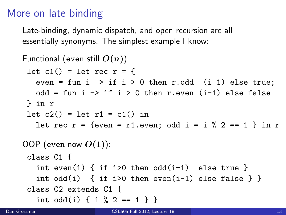## More on late binding

Late-binding, dynamic dispatch, and open recursion are all essentially synonyms. The simplest example I know:

```
Functional (even still O(n))
 let c1() = let rec r = \{even = fun i \rightarrow if i > 0 then r.odd (i-1) else true;
   odd = fun i \rightarrow if i > 0 then r.even (i-1) else false
 } in r
 let c2() = let r1 = c1() in
   let rec r = \{even = r1, even: odd i = i \times 2 == 1 \} in r
OOP (even now O(1)):
 class C1 {
   int even(i) { if i>0 then odd(i-1) else true }
   int odd(i) { if i>0 then even(i-1) else false } }
 class C2 extends C1 {
   int odd(i) \{ i \, % \, 2 == 1 \}
```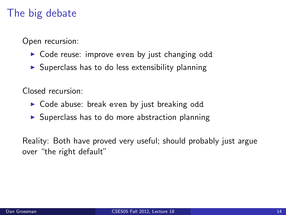### The big debate

Open recursion:

- $\triangleright$  Code reuse: improve even by just changing odd
- $\triangleright$  Superclass has to do less extensibility planning

Closed recursion:

- $\triangleright$  Code abuse: break even by just breaking odd
- $\triangleright$  Superclass has to do more abstraction planning

Reality: Both have proved very useful; should probably just argue over "the right default"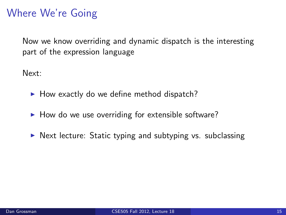## Where We're Going

Now we know overriding and dynamic dispatch is the interesting part of the expression language

Next:

- $\blacktriangleright$  How exactly do we define method dispatch?
- $\blacktriangleright$  How do we use overriding for extensible software?
- $\triangleright$  Next lecture: Static typing and subtyping vs. subclassing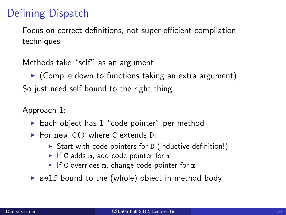# Defining Dispatch

Focus on correct definitions, not super-efficient compilation techniques

Methods take "self" as an argument

 $\triangleright$  (Compile down to functions taking an extra argument) So just need self bound to the right thing

Approach 1:

- $\blacktriangleright$  Each object has 1 "code pointer" per method
- For new  $C()$  where C extends D:
	- $\triangleright$  Start with code pointers for D (inductive definition!)
	- If C adds m, add code pointer for m
	- If C overrides m, change code pointer for m
- $\triangleright$  self bound to the (whole) object in method body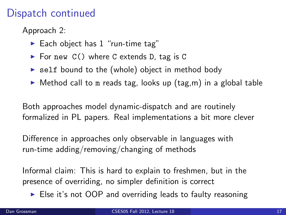## Dispatch continued

Approach 2:

- Each object has  $1$  "run-time tag"
- $\triangleright$  For new C() where C extends D, tag is C
- $\triangleright$  self bound to the (whole) object in method body
- $\triangleright$  Method call to m reads tag, looks up (tag, m) in a global table

Both approaches model dynamic-dispatch and are routinely formalized in PL papers. Real implementations a bit more clever

Difference in approaches only observable in languages with run-time adding/removing/changing of methods

Informal claim: This is hard to explain to freshmen, but in the presence of overriding, no simpler definition is correct

 $\triangleright$  Else it's not OOP and overriding leads to faulty reasoning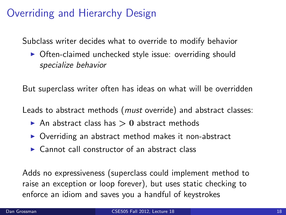## Overriding and Hierarchy Design

Subclass writer decides what to override to modify behavior

 $\triangleright$  Often-claimed unchecked style issue: overriding should specialize behavior

But superclass writer often has ideas on what will be overridden

Leads to abstract methods (*must* override) and abstract classes:

- An abstract class has  $> 0$  abstract methods
- $\triangleright$  Overriding an abstract method makes it non-abstract
- $\triangleright$  Cannot call constructor of an abstract class

Adds no expressiveness (superclass could implement method to raise an exception or loop forever), but uses static checking to enforce an idiom and saves you a handful of keystrokes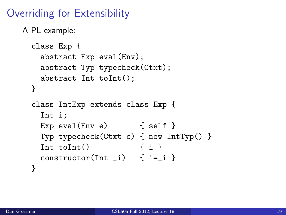# Overriding for Extensibility

A PL example:

```
class Exp {
 abstract Exp eval(Env);
 abstract Typ typecheck(Ctxt);
 abstract Int toInt();
}
class IntExp extends class Exp {
 Int i;
 Exp eval(Env e) { self }
 Typ typecheck(Ctxt c) { new IntTyp() }
 Int toInt() { i }
 constructor(Int_i) { i=j }
}
```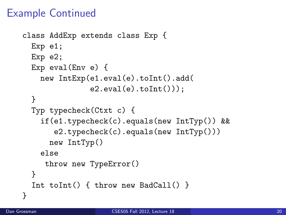## Example Continued

```
class AddExp extends class Exp {
 Exp e1;
 Exp e2;
 Exp eval(Env e) {
    new IntExp(e1.eval(e).toInt().add(
                e2.\text{eval}(e).\text{toInt}());
  }
  Typ typecheck(Ctxt c) {
    if(e1.typecheck(c).equals(new IntTyp()) &&
       e2.typecheck(c).equals(new IntTyp()))
      new IntTyp()
    else
     throw new TypeError()
  }
  Int toInt() { throw new BadCall() }
}
```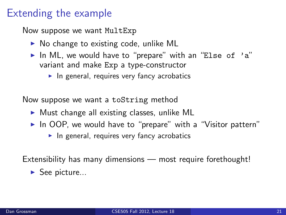#### Extending the example

Now suppose we want MultExp

- $\triangleright$  No change to existing code, unlike ML
- In ML, we would have to "prepare" with an "Else of 'a" variant and make Exp a type-constructor
	- $\blacktriangleright$  In general, requires very fancy acrobatics

Now suppose we want a toString method

- $\triangleright$  Must change all existing classes, unlike ML
- $\blacktriangleright$  In OOP, we would have to "prepare" with a "Visitor pattern"
	- $\blacktriangleright$  In general, requires very fancy acrobatics

Extensibility has many dimensions — most require forethought!

 $\blacktriangleright$  See picture...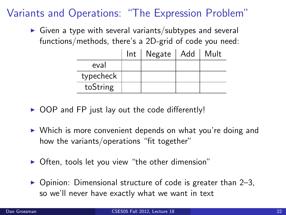## Variants and Operations: "The Expression Problem"

 $\triangleright$  Given a type with several variants/subtypes and several functions/methods, there's a 2D-grid of code you need:

|           | $Int \mid Negate \mid Add$ | Mult |
|-----------|----------------------------|------|
| eval      |                            |      |
| typecheck |                            |      |
| toString  |                            |      |

- $\triangleright$  OOP and FP just lay out the code differently!
- $\triangleright$  Which is more convenient depends on what you're doing and how the variants/operations "fit together"
- Often, tools let you view "the other dimension"
- $\triangleright$  Opinion: Dimensional structure of code is greater than 2–3, so we'll never have exactly what we want in text